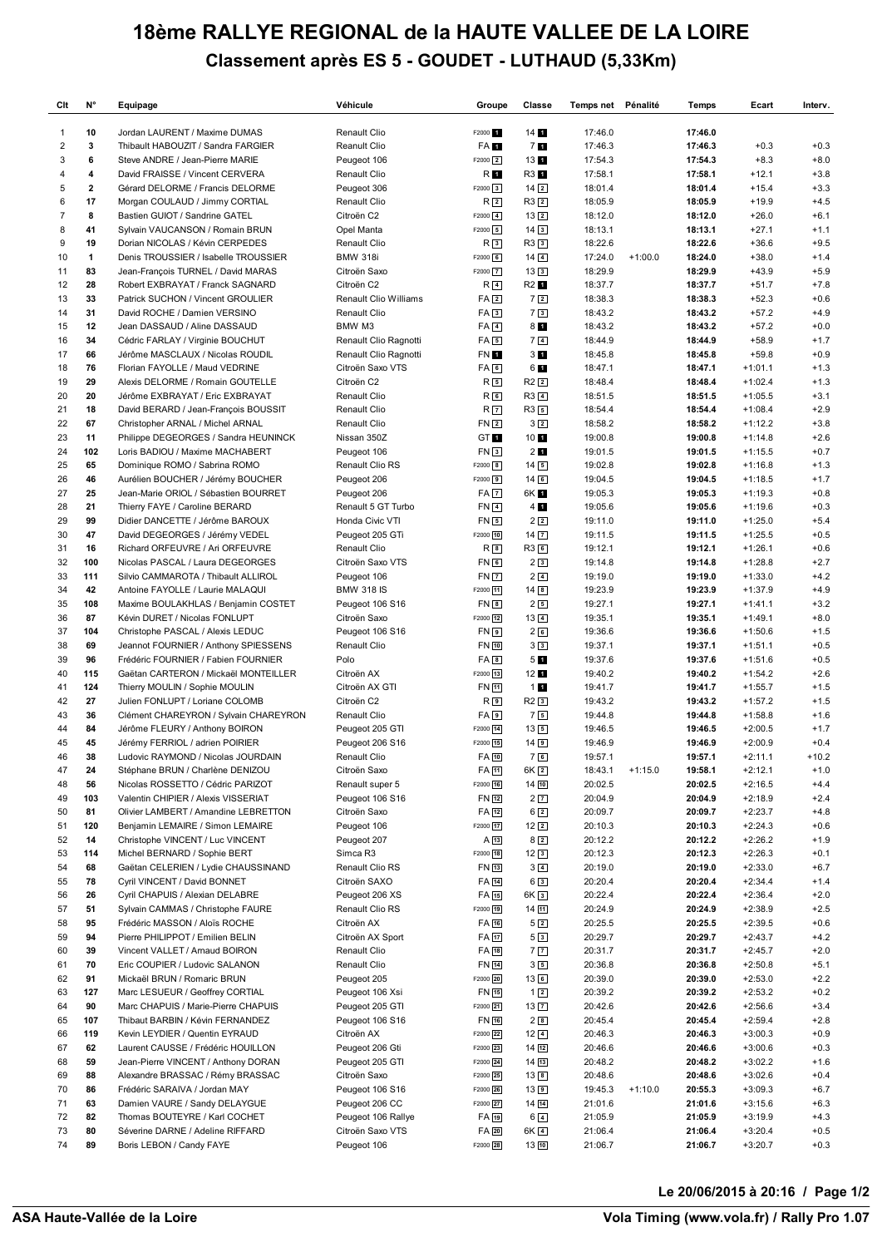## **18ème RALLYE REGIONAL de la HAUTE VALLEE DE LA LOIRE Classement après ES 5 - GOUDET - LUTHAUD (5,33Km)**

| Clt                 | N°           | Equipage                                                                  | Véhicule                                       | Groupe                        | Classe                            | Temps net Pénalité |           | Temps              | Ecart                  | Interv.           |
|---------------------|--------------|---------------------------------------------------------------------------|------------------------------------------------|-------------------------------|-----------------------------------|--------------------|-----------|--------------------|------------------------|-------------------|
| 1                   | 10           | Jordan LAURENT / Maxime DUMAS                                             | Renault Clio                                   | F2000 <sup>1</sup>            | 14                                | 17:46.0            |           | 17:46.0            |                        |                   |
| $\overline{c}$      | 3            | Thibault HABOUZIT / Sandra FARGIER                                        | Reanult Clio                                   | FA 1                          | <b>71</b>                         | 17:46.3            |           | 17:46.3            | $+0.3$                 | $+0.3$            |
| 3                   | 6            | Steve ANDRE / Jean-Pierre MARIE                                           | Peugeot 106                                    | $F2000$ 2                     | 13 1                              | 17:54.3            |           | 17:54.3            | $+8.3$                 | $+8.0$            |
| 4                   | 4            | David FRAISSE / Vincent CERVERA                                           | Renault Clio                                   | R 1                           | R3 1                              | 17:58.1            |           | 17:58.1            | $+12.1$                | $+3.8$            |
| 5                   | $\mathbf{2}$ | Gérard DELORME / Francis DELORME                                          | Peugeot 306                                    | F2000 3                       | $14\sqrt{2}$                      | 18:01.4            |           | 18:01.4            | $+15.4$                | $+3.3$            |
| 6<br>$\overline{7}$ | 17<br>8      | Morgan COULAUD / Jimmy CORTIAL<br>Bastien GUIOT / Sandrine GATEL          | Renault Clio<br>Citroën C2                     | R <sub>2</sub><br>$F2000$ $4$ | $R3$ <sup>2</sup><br>$13\sqrt{2}$ | 18:05.9<br>18:12.0 |           | 18:05.9<br>18:12.0 | $+19.9$<br>$+26.0$     | $+4.5$<br>$+6.1$  |
| 8                   | 41           | Sylvain VAUCANSON / Romain BRUN                                           | Opel Manta                                     | $F2000$ 5                     | $14\sqrt{3}$                      | 18:13.1            |           | 18:13.1            | $+27.1$                | $+1.1$            |
| 9                   | 19           | Dorian NICOLAS / Kévin CERPEDES                                           | Renault Clio                                   | $R_3$                         | R33                               | 18:22.6            |           | 18:22.6            | $+36.6$                | $+9.5$            |
| 10                  | $\mathbf{1}$ | Denis TROUSSIER / Isabelle TROUSSIER                                      | <b>BMW 318i</b>                                | $F2000$ 6                     | $14\sqrt{4}$                      | 17:24.0            | $+1:00.0$ | 18:24.0            | $+38.0$                | $+1.4$            |
| 11                  | 83           | Jean-François TURNEL / David MARAS                                        | Citroën Saxo                                   | F2000 7                       | $13\sqrt{3}$                      | 18:29.9            |           | 18:29.9            | $+43.9$                | $+5.9$            |
| 12                  | 28           | Robert EXBRAYAT / Franck SAGNARD                                          | Citroën C2                                     | R <sub>4</sub>                | R2 1                              | 18:37.7            |           | 18:37.7            | $+51.7$                | $+7.8$            |
| 13                  | 33           | Patrick SUCHON / Vincent GROULIER                                         | Renault Clio Williams                          | FA <sub>2</sub>               | 72                                | 18:38.3            |           | 18:38.3            | $+52.3$                | $+0.6$            |
| 14                  | 31           | David ROCHE / Damien VERSINO                                              | Renault Clio                                   | FA3                           | 73                                | 18:43.2            |           | 18:43.2            | $+57.2$                | $+4.9$            |
| 15<br>16            | 12<br>34     | Jean DASSAUD / Aline DASSAUD                                              | BMW M3                                         | $FA$ <sup>4</sup>             | 81                                | 18:43.2<br>18:44.9 |           | 18:43.2<br>18:44.9 | $+57.2$<br>$+58.9$     | $+0.0$<br>$+1.7$  |
| 17                  | 66           | Cédric FARLAY / Virginie BOUCHUT<br>Jérôme MASCLAUX / Nicolas ROUDIL      | Renault Clio Ragnotti<br>Renault Clio Ragnotti | $FA$ 5<br>FN 1                | 7 <sub>4</sub><br>3 <sub>1</sub>  | 18:45.8            |           | 18:45.8            | $+59.8$                | $+0.9$            |
| 18                  | 76           | Florian FAYOLLE / Maud VEDRINE                                            | Citroën Saxo VTS                               | FA6                           | 61                                | 18:47.1            |           | 18:47.1            | $+1:01.1$              | $+1.3$            |
| 19                  | 29           | Alexis DELORME / Romain GOUTELLE                                          | Citroën C2                                     | $R_{5}$                       | $R2$ $2$                          | 18:48.4            |           | 18:48.4            | $+1:02.4$              | $+1.3$            |
| 20                  | 20           | Jérôme EXBRAYAT / Eric EXBRAYAT                                           | Renault Clio                                   | $R_{6}$                       | $R3\sqrt{4}$                      | 18:51.5            |           | 18:51.5            | $+1:05.5$              | $+3.1$            |
| 21                  | 18           | David BERARD / Jean-François BOUSSIT                                      | Renault Clio                                   | R <sub>7</sub>                | R3 5                              | 18:54.4            |           | 18:54.4            | $+1:08.4$              | $+2.9$            |
| 22                  | 67           | Christopher ARNAL / Michel ARNAL                                          | Renault Clio                                   | FN <sub>2</sub>               | 3 <sub>2</sub>                    | 18:58.2            |           | 18:58.2            | $+1:12.2$              | $+3.8$            |
| 23                  | 11           | Philippe DEGEORGES / Sandra HEUNINCK                                      | Nissan 350Z                                    | GT <sub>1</sub>               | 10 <sub>1</sub>                   | 19:00.8            |           | 19:00.8            | $+1:14.8$              | $+2.6$            |
| 24                  | 102          | Loris BADIOU / Maxime MACHABERT                                           | Peugeot 106                                    | FN 3                          | 2 <sub>1</sub>                    | 19:01.5            |           | 19:01.5            | $+1:15.5$              | $+0.7$            |
| 25                  | 65           | Dominique ROMO / Sabrina ROMO                                             | Renault Clio RS                                | F2000 8                       | $14\overline{5}$                  | 19:02.8            |           | 19:02.8            | $+1:16.8$              | $+1.3$            |
| 26<br>27            | 46<br>25     | Aurélien BOUCHER / Jérémy BOUCHER<br>Jean-Marie ORIOL / Sébastien BOURRET | Peugeot 206<br>Peugeot 206                     | F2000 9<br>FA <sub>7</sub>    | $14$ 6<br>6K 1                    | 19:04.5<br>19:05.3 |           | 19:04.5<br>19:05.3 | $+1:18.5$<br>$+1:19.3$ | $+1.7$<br>$+0.8$  |
| 28                  | 21           | Thierry FAYE / Caroline BERARD                                            | Renault 5 GT Turbo                             | <b>FN</b> 4                   | 4 <sub>1</sub>                    | 19:05.6            |           | 19:05.6            | $+1:19.6$              | $+0.3$            |
| 29                  | 99           | Didier DANCETTE / Jérôme BAROUX                                           | Honda Civic VTI                                | FN <sub>5</sub>               | 22                                | 19:11.0            |           | 19:11.0            | $+1:25.0$              | $+5.4$            |
| 30                  | 47           | David DEGEORGES / Jérémy VEDEL                                            | Peugeot 205 GTi                                | F2000 10                      | 14 <sub>7</sub>                   | 19:11.5            |           | 19:11.5            | $+1:25.5$              | $+0.5$            |
| 31                  | 16           | Richard ORFEUVRE / Ari ORFEUVRE                                           | Renault Clio                                   | $R_{8}$                       | R36                               | 19:12.1            |           | 19:12.1            | $+1:26.1$              | $+0.6$            |
| 32                  | 100          | Nicolas PASCAL / Laura DEGEORGES                                          | Citroën Saxo VTS                               | FN <sub>6</sub>               | 23                                | 19:14.8            |           | 19:14.8            | $+1:28.8$              | $+2.7$            |
| 33                  | 111          | Silvio CAMMAROTA / Thibault ALLIROL                                       | Peugeot 106                                    | $FN$ $7$                      | $2\sqrt{4}$                       | 19:19.0            |           | 19:19.0            | $+1:33.0$              | $+4.2$            |
| 34                  | 42           | Antoine FAYOLLE / Laurie MALAQUI                                          | <b>BMW 318 IS</b>                              | F2000 11                      | 14B                               | 19:23.9            |           | 19:23.9            | $+1:37.9$              | $+4.9$            |
| 35                  | 108          | Maxime BOULAKHLAS / Benjamin COSTET                                       | Peugeot 106 S16                                | FN <sub>8</sub>               | 25                                | 19:27.1            |           | 19:27.1            | $+1:41.1$              | $+3.2$            |
| 36<br>37            | 87<br>104    | Kévin DURET / Nicolas FONLUPT                                             | Citroën Saxo                                   | F2000 12<br>FN <sub>9</sub>   | 13 <sup>4</sup>                   | 19:35.1<br>19:36.6 |           | 19:35.1<br>19:36.6 | $+1:49.1$<br>$+1:50.6$ | $+8.0$<br>$+1.5$  |
| 38                  | 69           | Christophe PASCAL / Alexis LEDUC<br>Jeannot FOURNIER / Anthony SPIESSENS  | Peugeot 106 S16<br>Renault Clio                | FN 10                         | 26<br>33                          | 19:37.1            |           | 19:37.1            | $+1:51.1$              | $+0.5$            |
| 39                  | 96           | Frédéric FOURNIER / Fabien FOURNIER                                       | Polo                                           | $FA$ $8$                      | 5 <sub>1</sub>                    | 19:37.6            |           | 19:37.6            | $+1:51.6$              | $+0.5$            |
| 40                  | 115          | Gaëtan CARTERON / Mickaël MONTEILLER                                      | Citroën AX                                     | F2000 13                      | 12 <sub>1</sub>                   | 19:40.2            |           | 19:40.2            | $+1:54.2$              | $+2.6$            |
| 41                  | 124          | Thierry MOULIN / Sophie MOULIN                                            | Citroën AX GTI                                 | FN 11                         | 11                                | 19:41.7            |           | 19:41.7            | $+1:55.7$              | $+1.5$            |
| 42                  | 27           | Julien FONLUPT / Loriane COLOMB                                           | Citroën C2                                     | R <sub>9</sub>                | $R2$ <sup>3</sup>                 | 19:43.2            |           | 19:43.2            | $+1:57.2$              | $+1.5$            |
| 43                  | 36           | Clément CHAREYRON / Sylvain CHAREYRON                                     | Renault Clio                                   | $FA$ <sup>9</sup>             | 75                                | 19:44.8            |           | 19:44.8            | $+1:58.8$              | $+1.6$            |
| 44                  | 84           | Jérôme FLEURY / Anthony BOIRON                                            | Peugeot 205 GTI                                | F2000 14                      | $13\overline{5}$                  | 19:46.5            |           | 19:46.5            | $+2:00.5$              | $+1.7$            |
| 45                  | 45           | Jérémy FERRIOL / adrien POIRIER                                           | Peugeot 206 S16                                | F2000 15                      | $14$ $9$                          | 19:46.9            |           | 19:46.9            | $+2:00.9$              | $+0.4$            |
| 46<br>47            | 38<br>24     | Ludovic RAYMOND / Nicolas JOURDAIN<br>Stéphane BRUN / Charlène DENIZOU    | Renault Clio<br>Citroën Saxo                   | FA 10<br>FA 11                | 76<br>6K 2                        | 19:57.1<br>18:43.1 | $+1:15.0$ | 19:57.1<br>19:58.1 | $+2:11.1$<br>$+2:12.1$ | $+10.2$<br>$+1.0$ |
| 48                  | 56           | Nicolas ROSSETTO / Cédric PARIZOT                                         | Renault super 5                                | F2000 16                      | $14$ $10$                         | 20:02.5            |           | 20:02.5            | $+2:16.5$              | $+4.4$            |
| 49                  | 103          | Valentin CHIPIER / Alexis VISSERIAT                                       | Peugeot 106 S16                                | FN 12                         | $2\sqrt{7}$                       | 20:04.9            |           | 20:04.9            | $+2:18.9$              | $+2.4$            |
| 50                  | 81           | Olivier LAMBERT / Amandine LEBRETTON                                      | Citroën Saxo                                   | FA 12                         | $6\sqrt{2}$                       | 20:09.7            |           | 20:09.7            | $+2:23.7$              | $+4.8$            |
| 51                  | 120          | Benjamin LEMAIRE / Simon LEMAIRE                                          | Peugeot 106                                    | F2000 17                      | $12\sqrt{2}$                      | 20:10.3            |           | 20:10.3            | $+2:24.3$              | $+0.6$            |
| 52                  | 14           | Christophe VINCENT / Luc VINCENT                                          | Peugeot 207                                    | $A$ 13                        | $8\sqrt{2}$                       | 20:12.2            |           | 20:12.2            | $+2:26.2$              | $+1.9$            |
| 53                  | 114          | Michel BERNARD / Sophie BERT                                              | Simca R3                                       | F2000 18                      | $12\sqrt{3}$                      | 20:12.3            |           | 20:12.3            | $+2:26.3$              | $+0.1$            |
| 54                  | 68           | Gaëtan CELERIEN / Lydie CHAUSSINAND                                       | Renault Clio RS                                | FN [13]                       | $3\sqrt{4}$                       | 20:19.0            |           | 20:19.0            | $+2:33.0$              | $+6.7$            |
| 55<br>56            | 78<br>26     | Cyril VINCENT / David BONNET<br>Cyril CHAPUIS / Alexian DELABRE           | Citroën SAXO<br>Peugeot 206 XS                 | FA 14<br>FA [15]              | $6\sqrt{3}$<br>6K 3               | 20:20.4<br>20:22.4 |           | 20:20.4<br>20:22.4 | $+2:34.4$<br>$+2:36.4$ | $+1.4$<br>$+2.0$  |
| 57                  | 51           | Sylvain CAMMAS / Christophe FAURE                                         | Renault Clio RS                                | F2000 19                      | $14$ $11$                         | 20:24.9            |           | 20:24.9            | $+2:38.9$              | $+2.5$            |
| 58                  | 95           | Frédéric MASSON / Aloïs ROCHE                                             | Citroën AX                                     | FA [16]                       | $5\sqrt{2}$                       | 20:25.5            |           | 20:25.5            | $+2:39.5$              | $+0.6$            |
| 59                  | 94           | Pierre PHILIPPOT / Emilien BELIN                                          | Citroën AX Sport                               | FA 17                         | 5 <sup>3</sup>                    | 20:29.7            |           | 20:29.7            | $+2:43.7$              | $+4.2$            |
| 60                  | 39           | Vincent VALLET / Arnaud BOIRON                                            | Renault Clio                                   | FA [18]                       | $7\sqrt{7}$                       | 20:31.7            |           | 20:31.7            | $+2:45.7$              | $+2.0$            |
| 61                  | 70           | Eric COUPIER / Ludovic SALANON                                            | Renault Clio                                   | FN [14]                       | $3\sqrt{5}$                       | 20:36.8            |           | 20:36.8            | $+2:50.8$              | $+5.1$            |
| 62                  | 91           | Mickaël BRUN / Romaric BRUN                                               | Peugeot 205                                    | F2000 20                      | $13$ 6                            | 20:39.0            |           | 20:39.0            | $+2:53.0$              | $+2.2$            |
| 63                  | 127          | Marc LESUEUR / Geoffrey CORTIAL                                           | Peugeot 106 Xsi                                | FN [15]                       | $1\sqrt{2}$                       | 20:39.2            |           | 20:39.2            | $+2:53.2$              | $+0.2$            |
| 64                  | 90           | Marc CHAPUIS / Marie-Pierre CHAPUIS                                       | Peugeot 205 GTI                                | F2000 21                      | $13\boxed{7}$                     | 20:42.6            |           | 20:42.6            | $+2:56.6$              | $+3.4$            |
| 65                  | 107<br>119   | Thibaut BARBIN / Kévin FERNANDEZ<br>Kevin LEYDIER / Quentin EYRAUD        | Peugeot 106 S16<br>Citroën AX                  | FN [16]<br>F2000 22           | 23                                | 20:45.4<br>20:46.3 |           | 20:45.4<br>20:46.3 | $+2:59.4$<br>$+3:00.3$ | $+2.8$<br>$+0.9$  |
| 66<br>67            | 62           | Laurent CAUSSE / Frédéric HOUILLON                                        | Peugeot 206 Gti                                | F2000 23                      | $12\sqrt{4}$<br>$14$ $12$         | 20:46.6            |           | 20:46.6            | $+3:00.6$              | $+0.3$            |
| 68                  | 59           | Jean-Pierre VINCENT / Anthony DORAN                                       | Peugeot 205 GTI                                | F2000 24                      | $14$ $13$                         | 20:48.2            |           | 20:48.2            | $+3:02.2$              | $+1.6$            |
| 69                  | 88           | Alexandre BRASSAC / Rémy BRASSAC                                          | Citroën Saxo                                   | F2000 25                      | $13$ 8                            | 20:48.6            |           | 20:48.6            | $+3:02.6$              | $+0.4$            |
| 70                  | 86           | Frédéric SARAIVA / Jordan MAY                                             | Peugeot 106 S16                                | F2000 26                      | $13$ 9                            | 19:45.3            | $+1:10.0$ | 20:55.3            | $+3:09.3$              | $+6.7$            |
| 71                  | 63           | Damien VAURE / Sandy DELAYGUE                                             | Peugeot 206 CC                                 | F2000 27                      | $14$ $14$                         | 21:01.6            |           | 21:01.6            | $+3:15.6$              | $+6.3$            |
| 72                  | 82           | Thomas BOUTEYRE / Karl COCHET                                             | Peugeot 106 Rallye                             | FA[19]                        | $6\sqrt{4}$                       | 21:05.9            |           | 21:05.9            | $+3:19.9$              | $+4.3$            |
| 73                  | 80           | Séverine DARNE / Adeline RIFFARD                                          | Citroën Saxo VTS                               | FA 20                         | 6K 4                              | 21:06.4            |           | 21:06.4            | $+3:20.4$              | $+0.5$            |
| 74                  | 89           | Boris LEBON / Candy FAYE                                                  | Peugeot 106                                    | F2000 28                      | $13$ $10$                         | 21:06.7            |           | 21:06.7            | $+3:20.7$              | $+0.3$            |

**Le 20/06/2015 à 20:16 / Page 1/2**